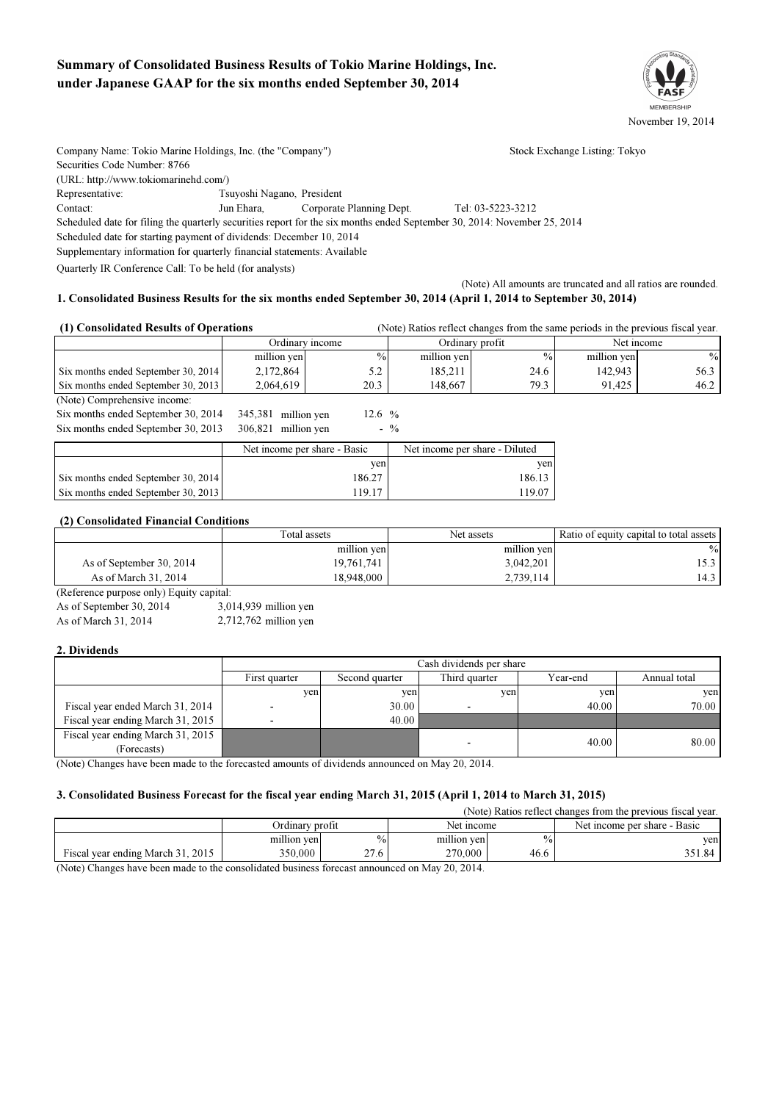# Summary of Consolidated Business Results of Tokio Marine Holdings, Inc. under Japanese GAAP for the six months ended September 30, 2014



Company Name: Tokio Marine Holdings, Inc. (the "Company") Stock Exchange Listing: Tokyo Securities Code Number: 8766 (URL: http://www.tokiomarinehd.com/) Representative: Tsuyoshi Nagano, President Contact: Jun Ehara, Corporate Planning Dept. Tel: 03-5223-3212 Scheduled date for filing the quarterly securities report for the six months ended September 30, 2014: November 25, 2014 Scheduled date for starting payment of dividends: December 10, 2014 Supplementary information for quarterly financial statements: Available Quarterly IR Conference Call: To be held (for analysts) (Note) All amounts are truncated and all ratios are rounded.

### 1. Consolidated Business Results for the six months ended September 30, 2014 (April 1, 2014 to September 30, 2014)

| (1) Consolidated Results of Operations |                              |          | (Note) Ratios reflect changes from the same periods in the previous fiscal year. |               |             |               |  |  |
|----------------------------------------|------------------------------|----------|----------------------------------------------------------------------------------|---------------|-------------|---------------|--|--|
|                                        | Ordinary income              |          | Ordinary profit                                                                  |               | Net income  |               |  |  |
|                                        | million yen                  | $\%$     | million yen                                                                      | $\frac{0}{0}$ | million yen | $\frac{0}{0}$ |  |  |
| Six months ended September 30, 2014    | 2,172,864                    | 5.2      | 185,211                                                                          | 24.6          | 142,943     | 56.3          |  |  |
| Six months ended September 30, 2013    | 2,064,619                    | 20.3     | 148,667                                                                          | 79.3          | 91,425      | 46.2          |  |  |
| (Note) Comprehensive income:           |                              |          |                                                                                  |               |             |               |  |  |
| Six months ended September 30, 2014    | 345,381<br>million yen       | 12.6 $%$ |                                                                                  |               |             |               |  |  |
| Six months ended September 30, 2013    | 306,821<br>million yen       | $-$ %    |                                                                                  |               |             |               |  |  |
|                                        | Net income per share - Basic |          | Net income per share - Diluted                                                   |               |             |               |  |  |
|                                        |                              | yen      |                                                                                  | ven           |             |               |  |  |
| Six months ended September 30, 2014    |                              | 186.27   |                                                                                  | 186.13        |             |               |  |  |

#### (2) Consolidated Financial Conditions

|                          | Total assets | Net assets  | Ratio of equity capital to total assets |
|--------------------------|--------------|-------------|-----------------------------------------|
|                          | million yen  | million yen | $\%$                                    |
| As of September 30, 2014 | 19,761,741   | 3,042,201   |                                         |
| As of March 31, 2014     | 18,948,000   | 2,739,114   | 14.3                                    |

(Reference purpose only) Equity capital: As of September 30, 2014 3,014,939 million yen

As of March 31, 2014 2,712,762 million yen

#### 2. Dividends

|                                   |               | Cash dividends per share |                          |          |              |  |
|-----------------------------------|---------------|--------------------------|--------------------------|----------|--------------|--|
|                                   | First quarter | Second quarter           | Third quarter            | Year-end | Annual total |  |
|                                   | ven           | ven                      | ven                      | ven      | ven          |  |
| Fiscal year ended March 31, 2014  |               | 30.00                    |                          | 40.00    | 70.00        |  |
| Fiscal year ending March 31, 2015 |               | 40.00                    |                          |          |              |  |
| Fiscal year ending March 31, 2015 |               |                          | $\overline{\phantom{a}}$ | 40.00    | 80.00        |  |
| (Forecasts)                       |               |                          |                          |          |              |  |

(Note) Changes have been made to the forecasted amounts of dividends announced on May 20, 2014.

Six months ended September 30, 2013 119.17 119.17 119.07

#### 3. Consolidated Business Forecast for the fiscal year ending March 31, 2015 (April 1, 2014 to March 31, 2015)

|                                   |                 |               |                                                                                                                 |               | (Note) Ratios reflect changes from the previous fiscal year. |
|-----------------------------------|-----------------|---------------|-----------------------------------------------------------------------------------------------------------------|---------------|--------------------------------------------------------------|
|                                   | Ordinary profit |               | Net income                                                                                                      |               | Net income per share - Basic                                 |
|                                   | million yen     | $\frac{0}{0}$ | million yen                                                                                                     | $\frac{0}{0}$ | ven                                                          |
| Fiscal year ending March 31, 2015 | 350,000         | $\sim$        | 270,000                                                                                                         | 46.6          | 351.84                                                       |
|                                   |                 |               | the contract of the contract of the contract of the contract of the contract of the contract of the contract of |               |                                                              |

(Note) Changes have been made to the consolidated business forecast announced on May 20, 2014.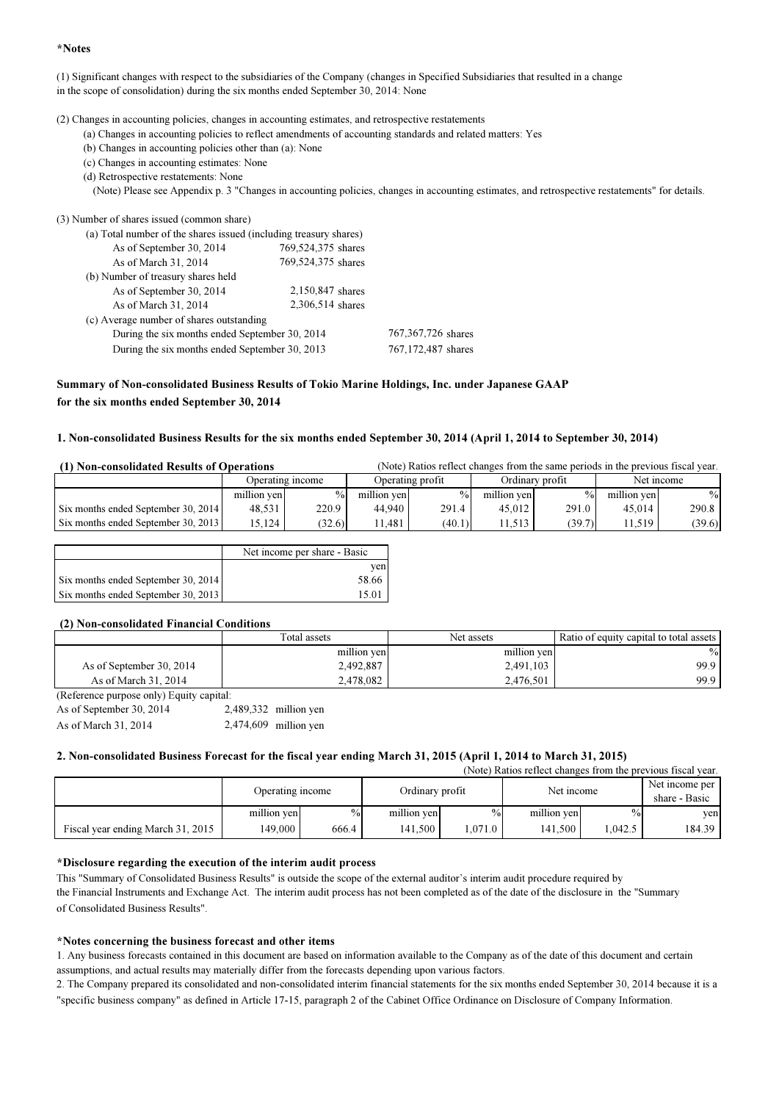#### \*Notes

(1) Significant changes with respect to the subsidiaries of the Company (changes in Specified Subsidiaries that resulted in a change in the scope of consolidation) during the six months ended September 30, 2014: None

(2) Changes in accounting policies, changes in accounting estimates, and retrospective restatements

- (a) Changes in accounting policies to reflect amendments of accounting standards and related matters: Yes
- (b) Changes in accounting policies other than (a): None
- (c) Changes in accounting estimates: None
- (d) Retrospective restatements: None
- (Note) Please see Appendix p. 3 "Changes in accounting policies, changes in accounting estimates, and retrospective restatements" for details.

#### (3) Number of shares issued (common share)

| (a) Total number of the shares issued (including treasury shares) |                    |                    |
|-------------------------------------------------------------------|--------------------|--------------------|
| As of September 30, 2014                                          | 769,524,375 shares |                    |
| As of March 31, 2014                                              | 769,524,375 shares |                    |
| (b) Number of treasury shares held                                |                    |                    |
| As of September 30, 2014                                          | 2,150,847 shares   |                    |
| As of March 31, 2014                                              | 2,306,514 shares   |                    |
| (c) Average number of shares outstanding                          |                    |                    |
| During the six months ended September 30, 2014                    | 767,367,726 shares |                    |
| During the six months ended September 30, 2013                    |                    | 767,172,487 shares |
|                                                                   |                    |                    |

### Summary of Non-consolidated Business Results of Tokio Marine Holdings, Inc. under Japanese GAAP for the six months ended September 30, 2014

#### 1. Non-consolidated Business Results for the six months ended September 30, 2014 (April 1, 2014 to September 30, 2014)

| (1) Non-consolidated Results of Operations |                  |               |                  | (Note) Ratios reflect changes from the same periods in the previous fiscal year. |                 |               |             |               |
|--------------------------------------------|------------------|---------------|------------------|----------------------------------------------------------------------------------|-----------------|---------------|-------------|---------------|
|                                            | Operating income |               | Operating profit |                                                                                  | Ordinary profit |               | Net income  |               |
|                                            | million ven      | $\frac{0}{0}$ | million ven      | $\frac{0}{0}$                                                                    | million ven     | $\frac{0}{0}$ | million ven | $\frac{0}{0}$ |
| Six months ended September 30, 2014        | 48.531           | 220.9         | 44.940           | 291.4                                                                            | 45.012          | 291.0         | 45.014      | 290.8         |
| Six months ended September 30, 2013        | 15.124           | (32.6)        | 1.481            | (40.1)                                                                           | 11.513 +        | (39.7)        | 11.519      | (39.6)        |

|                                     | Net income per share - Basic |
|-------------------------------------|------------------------------|
|                                     | ven                          |
| Six months ended September 30, 2014 | 58.66                        |
| Six months ended September 30, 2013 | 15.01                        |

#### (2) Non-consolidated Financial Conditions

|                                                                                                                                                                                                                                                                                                                    | Total assets | Net assets  | Ratio of equity capital to total assets |
|--------------------------------------------------------------------------------------------------------------------------------------------------------------------------------------------------------------------------------------------------------------------------------------------------------------------|--------------|-------------|-----------------------------------------|
|                                                                                                                                                                                                                                                                                                                    | million yen  | million yen | $\frac{0}{0}$                           |
| As of September 30, 2014                                                                                                                                                                                                                                                                                           | 2,492,887    | 2,491,103   | 99.9                                    |
| As of March 31, 2014                                                                                                                                                                                                                                                                                               | 2.478.082    | 2,476,501   | 99.9                                    |
| $\sqrt{2}$ $\sqrt{2}$ $\sqrt{2}$ $\sqrt{2}$ $\sqrt{2}$ $\sqrt{2}$ $\sqrt{2}$ $\sqrt{2}$ $\sqrt{2}$ $\sqrt{2}$ $\sqrt{2}$ $\sqrt{2}$ $\sqrt{2}$ $\sqrt{2}$ $\sqrt{2}$ $\sqrt{2}$ $\sqrt{2}$ $\sqrt{2}$ $\sqrt{2}$ $\sqrt{2}$ $\sqrt{2}$ $\sqrt{2}$ $\sqrt{2}$ $\sqrt{2}$ $\sqrt{2}$ $\sqrt{2}$ $\sqrt{2}$ $\sqrt{2$ |              |             |                                         |

(Reference purpose only) Equity capital:

As of September 30, 2014 As of March 31, 2014 2,474,609 million yen 2,489,332 million yen

#### 2. Non-consolidated Business Forecast for the fiscal year ending March 31, 2015 (April 1, 2014 to March 31, 2015)

|  |  | (Note | Ratios<br>change <sup>r</sup><br>trom<br>reflect<br>the | vear.<br>previous<br>fiscal |
|--|--|-------|---------------------------------------------------------|-----------------------------|
|  |  |       |                                                         | $N + \alpha +$              |

|                                   |             | Ordinary profit<br>Operating income |             | Net income    |             | Net income per<br>share - Basic |        |
|-----------------------------------|-------------|-------------------------------------|-------------|---------------|-------------|---------------------------------|--------|
|                                   | million ven | $\%$                                | million yen | $\frac{0}{0}$ | million yen | $\%$                            | ven    |
| Fiscal year ending March 31, 2015 | 149.000     | 666.4                               | 141.500     | .071.0        | 141.500     | .042.5                          | 184.39 |

#### \*Disclosure regarding the execution of the interim audit process

This "Summary of Consolidated Business Results" is outside the scope of the external auditor's interim audit procedure required by the Financial Instruments and Exchange Act. The interim audit process has not been completed as of the date of the disclosure in the "Summary of Consolidated Business Results".

#### \*Notes concerning the business forecast and other items

1. Any business forecasts contained in this document are based on information available to the Company as of the date of this document and certain assumptions, and actual results may materially differ from the forecasts depending upon various factors.

2. The Company prepared its consolidated and non-consolidated interim financial statements for the six months ended September 30, 2014 because it is a "specific business company" as defined in Article 17-15, paragraph 2 of the Cabinet Office Ordinance on Disclosure of Company Information.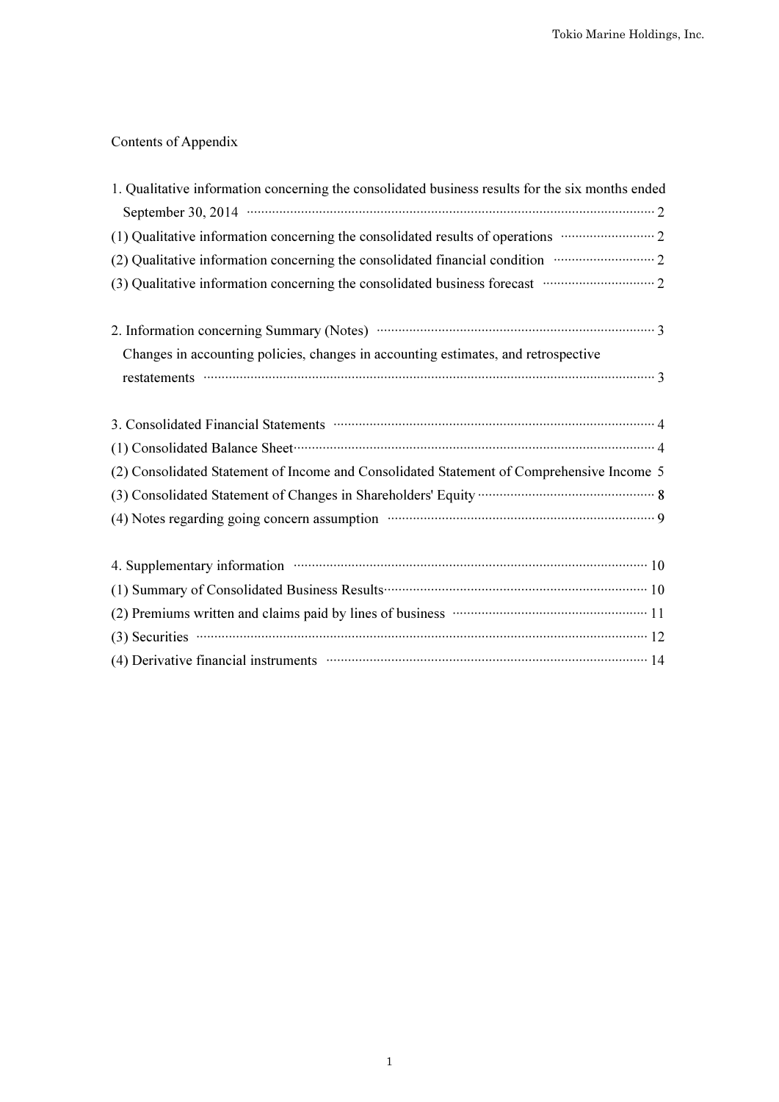# Contents of Appendix

| 1. Qualitative information concerning the consolidated business results for the six months ended                                                                                                                               |
|--------------------------------------------------------------------------------------------------------------------------------------------------------------------------------------------------------------------------------|
| September 30, 2014 $\cdots$ $\cdots$ $\cdots$ $\cdots$ $\cdots$ $\cdots$ $\cdots$ $\cdots$ $\cdots$ $\cdots$ $\cdots$ $\cdots$ $\cdots$ $\cdots$ $\cdots$ $\cdots$                                                             |
| (1) Qualitative information concerning the consolidated results of operations manufacture 2                                                                                                                                    |
| (2) Qualitative information concerning the consolidated financial condition manufacture 2                                                                                                                                      |
| (3) Qualitative information concerning the consolidated business forecast manufacture information 2                                                                                                                            |
|                                                                                                                                                                                                                                |
| Changes in accounting policies, changes in accounting estimates, and retrospective                                                                                                                                             |
|                                                                                                                                                                                                                                |
| 3. Consolidated Financial Statements manufactured and a financial statements of a                                                                                                                                              |
|                                                                                                                                                                                                                                |
| (2) Consolidated Statement of Income and Consolidated Statement of Comprehensive Income 5                                                                                                                                      |
|                                                                                                                                                                                                                                |
| (4) Notes regarding going concern assumption manufactured concerns 9                                                                                                                                                           |
| 4. Supplementary information manufactured contains and the state of 10                                                                                                                                                         |
|                                                                                                                                                                                                                                |
| (2) Premiums written and claims paid by lines of business manufactured in the 11                                                                                                                                               |
| $(3)$ Securities $\cdots$ 12                                                                                                                                                                                                   |
| (4) Derivative financial instruments manufactured and the property of the property of the property of the property of the property of the property of the property of the property of the property of the property of the prop |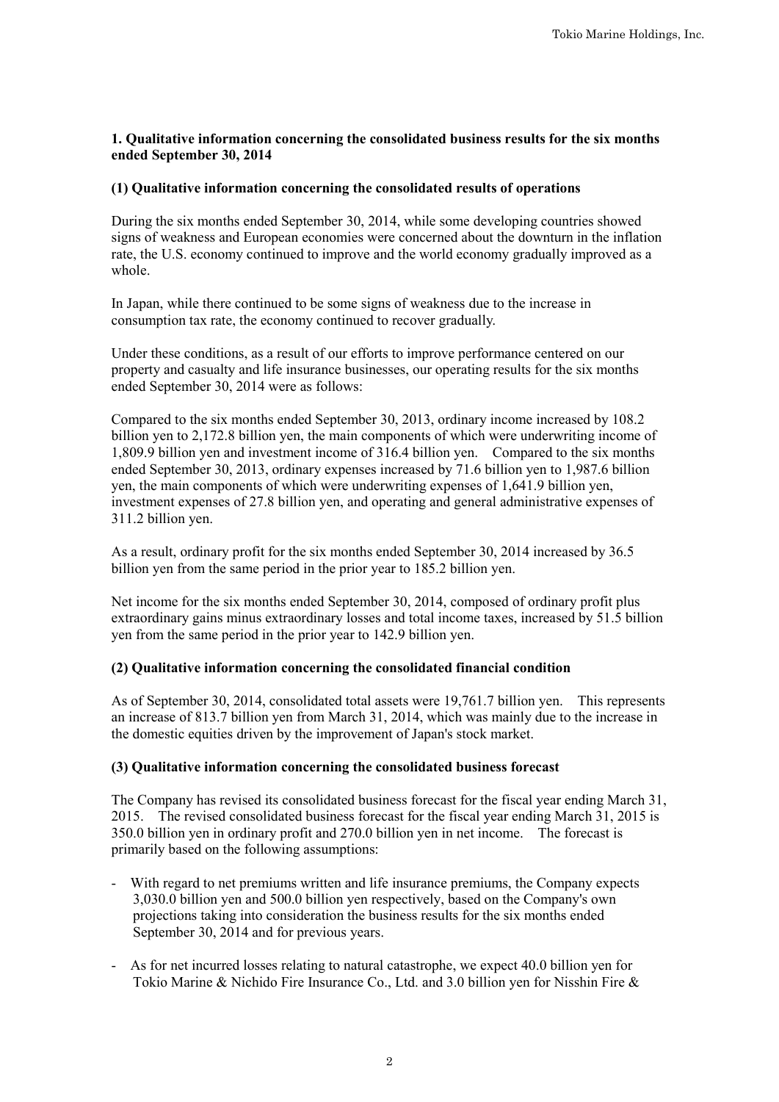# **1. Qualitative information concerning the consolidated business results for the six months ended September 30, 2014**

# **(1) Qualitative information concerning the consolidated results of operations**

During the six months ended September 30, 2014, while some developing countries showed signs of weakness and European economies were concerned about the downturn in the inflation rate, the U.S. economy continued to improve and the world economy gradually improved as a whole.

In Japan, while there continued to be some signs of weakness due to the increase in consumption tax rate, the economy continued to recover gradually.

Under these conditions, as a result of our efforts to improve performance centered on our property and casualty and life insurance businesses, our operating results for the six months ended September 30, 2014 were as follows:

Compared to the six months ended September 30, 2013, ordinary income increased by 108.2 billion yen to 2,172.8 billion yen, the main components of which were underwriting income of 1,809.9 billion yen and investment income of 316.4 billion yen. Compared to the six months ended September 30, 2013, ordinary expenses increased by 71.6 billion yen to 1,987.6 billion yen, the main components of which were underwriting expenses of 1,641.9 billion yen, investment expenses of 27.8 billion yen, and operating and general administrative expenses of 311.2 billion yen.

As a result, ordinary profit for the six months ended September 30, 2014 increased by 36.5 billion yen from the same period in the prior year to 185.2 billion yen.

Net income for the six months ended September 30, 2014, composed of ordinary profit plus extraordinary gains minus extraordinary losses and total income taxes, increased by 51.5 billion yen from the same period in the prior year to 142.9 billion yen.

# **(2) Qualitative information concerning the consolidated financial condition**

As of September 30, 2014, consolidated total assets were 19,761.7 billion yen. This represents an increase of 813.7 billion yen from March 31, 2014, which was mainly due to the increase in the domestic equities driven by the improvement of Japan's stock market.

# **(3) Qualitative information concerning the consolidated business forecast**

The Company has revised its consolidated business forecast for the fiscal year ending March 31, 2015. The revised consolidated business forecast for the fiscal year ending March 31, 2015 is 350.0 billion yen in ordinary profit and 270.0 billion yen in net income. The forecast is primarily based on the following assumptions:

- With regard to net premiums written and life insurance premiums, the Company expects 3,030.0 billion yen and 500.0 billion yen respectively, based on the Company's own projections taking into consideration the business results for the six months ended September 30, 2014 and for previous years.
- As for net incurred losses relating to natural catastrophe, we expect 40.0 billion yen for Tokio Marine & Nichido Fire Insurance Co., Ltd. and 3.0 billion yen for Nisshin Fire &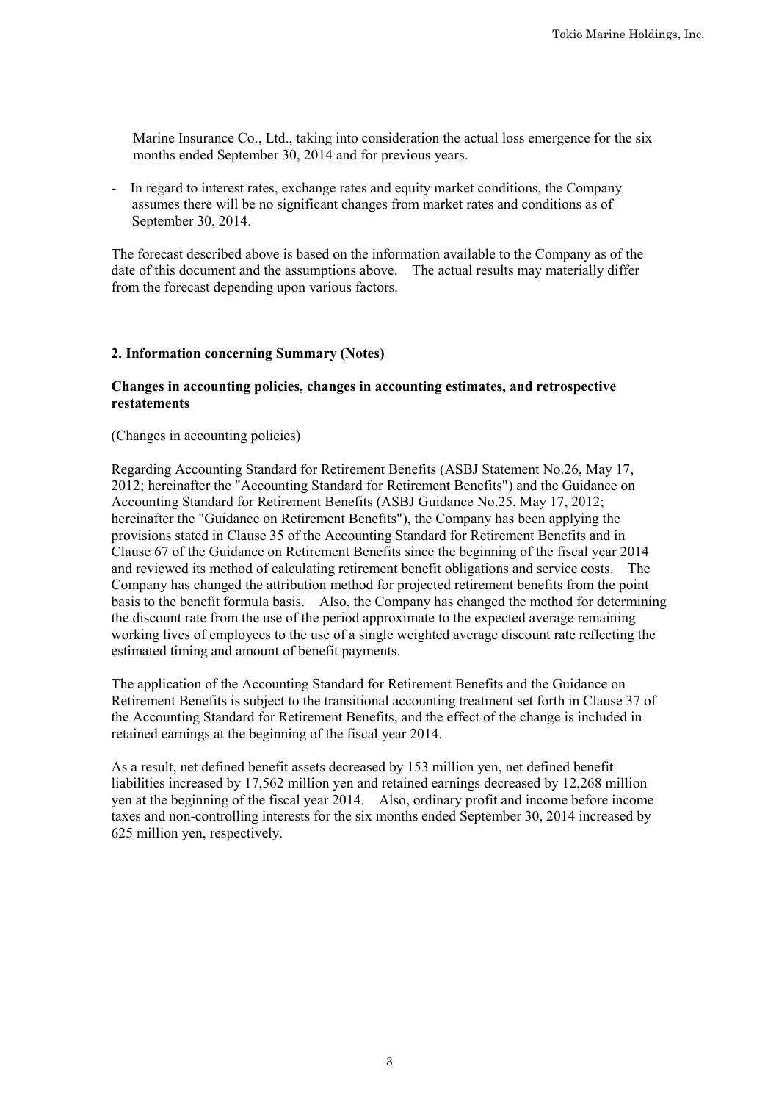Marine Insurance Co., Ltd., taking into consideration the actual loss emergence for the six months ended September 30, 2014 and for previous years.

In regard to interest rates, exchange rates and equity market conditions, the Company assumes there will be no significant changes from market rates and conditions as of September 30, 2014.

The forecast described above is based on the information available to the Company as of the date of this document and the assumptions above. The actual results may materially differ from the forecast depending upon various factors.

## **2. Information concerning Summary (Notes)**

# **Changes in accounting policies, changes in accounting estimates, and retrospective restatements**

(Changes in accounting policies)

Regarding Accounting Standard for Retirement Benefits (ASBJ Statement No.26, May 17, 2012; hereinafter the "Accounting Standard for Retirement Benefits") and the Guidance on Accounting Standard for Retirement Benefits (ASBJ Guidance No.25, May 17, 2012; hereinafter the "Guidance on Retirement Benefits"), the Company has been applying the provisions stated in Clause 35 of the Accounting Standard for Retirement Benefits and in Clause 67 of the Guidance on Retirement Benefits since the beginning of the fiscal year 2014 and reviewed its method of calculating retirement benefit obligations and service costs. The Company has changed the attribution method for projected retirement benefits from the point basis to the benefit formula basis. Also, the Company has changed the method for determining the discount rate from the use of the period approximate to the expected average remaining working lives of employees to the use of a single weighted average discount rate reflecting the estimated timing and amount of benefit payments.

The application of the Accounting Standard for Retirement Benefits and the Guidance on Retirement Benefits is subject to the transitional accounting treatment set forth in Clause 37 of the Accounting Standard for Retirement Benefits, and the effect of the change is included in retained earnings at the beginning of the fiscal year 2014.

As a result, net defined benefit assets decreased by 153 million yen, net defined benefit liabilities increased by 17,562 million yen and retained earnings decreased by 12,268 million yen at the beginning of the fiscal year 2014. Also, ordinary profit and income before income taxes and non-controlling interests for the six months ended September 30, 2014 increased by 625 million yen, respectively.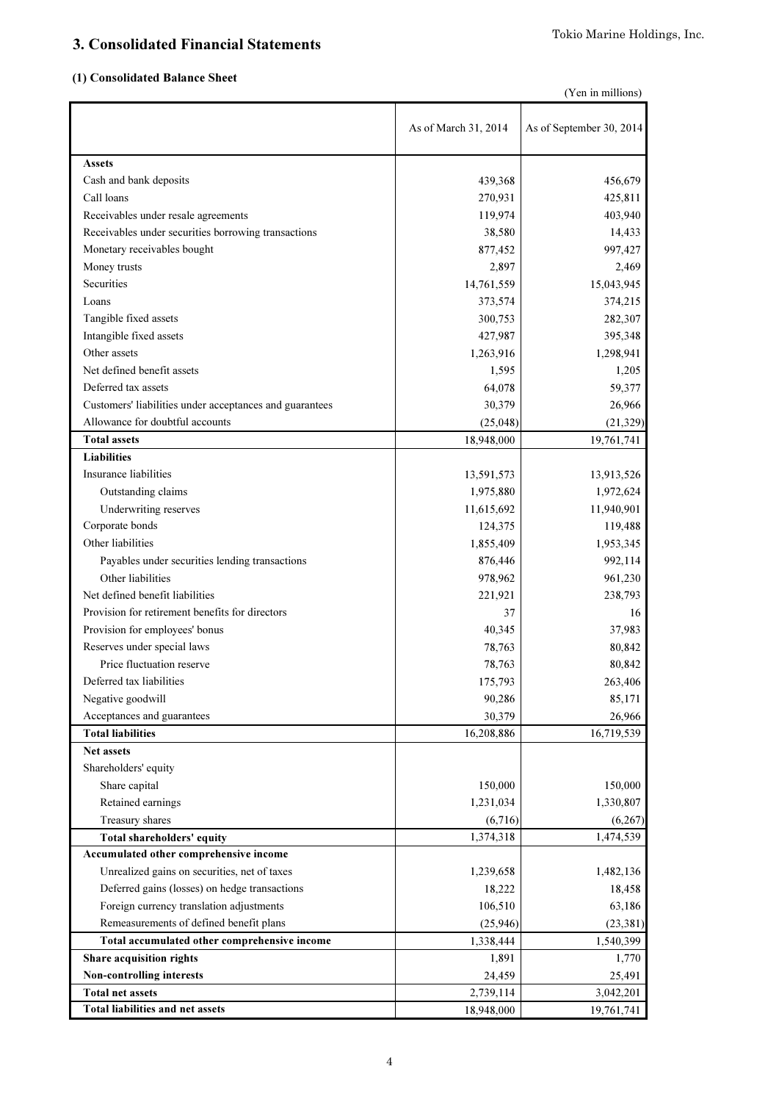# 3. Consolidated Financial Statements

## (1) Consolidated Balance Sheet

|  | (Yen in millions) |  |
|--|-------------------|--|
|  |                   |  |

|                                                         | As of March 31, 2014 | As of September 30, 2014 |
|---------------------------------------------------------|----------------------|--------------------------|
| <b>Assets</b>                                           |                      |                          |
| Cash and bank deposits                                  | 439,368              | 456,679                  |
| Call loans                                              | 270,931              | 425,811                  |
| Receivables under resale agreements                     | 119,974              | 403,940                  |
| Receivables under securities borrowing transactions     | 38,580               | 14,433                   |
| Monetary receivables bought                             | 877,452              | 997,427                  |
| Money trusts                                            | 2,897                | 2,469                    |
| Securities                                              | 14,761,559           | 15,043,945               |
| Loans                                                   | 373,574              | 374,215                  |
| Tangible fixed assets                                   | 300,753              | 282,307                  |
| Intangible fixed assets                                 | 427,987              | 395,348                  |
| Other assets                                            | 1,263,916            | 1,298,941                |
| Net defined benefit assets                              | 1,595                | 1,205                    |
| Deferred tax assets                                     | 64,078               | 59,377                   |
| Customers' liabilities under acceptances and guarantees | 30,379               | 26,966                   |
| Allowance for doubtful accounts                         | (25, 048)            | (21, 329)                |
| <b>Total assets</b>                                     | 18,948,000           | 19,761,741               |
| <b>Liabilities</b>                                      |                      |                          |
| Insurance liabilities                                   | 13,591,573           | 13,913,526               |
| Outstanding claims                                      | 1,975,880            | 1,972,624                |
| <b>Underwriting reserves</b>                            | 11,615,692           | 11,940,901               |
| Corporate bonds                                         | 124,375              | 119,488                  |
| Other liabilities                                       | 1,855,409            | 1,953,345                |
| Payables under securities lending transactions          | 876,446              | 992,114                  |
| Other liabilities                                       | 978,962              | 961,230                  |
| Net defined benefit liabilities                         | 221,921              | 238,793                  |
| Provision for retirement benefits for directors         | 37                   | 16                       |
| Provision for employees' bonus                          | 40,345               | 37,983                   |
| Reserves under special laws                             | 78,763               | 80,842                   |
| Price fluctuation reserve                               | 78,763               | 80,842                   |
| Deferred tax liabilities                                | 175,793              | 263,406                  |
| Negative goodwill                                       | 90,286               | 85,171                   |
| Acceptances and guarantees                              | 30,379               | 26,966                   |
| <b>Total liabilities</b>                                | 16,208,886           | 16,719,539               |
| Net assets                                              |                      |                          |
| Shareholders' equity                                    |                      |                          |
| Share capital                                           | 150,000              | 150,000                  |
| Retained earnings                                       | 1,231,034            | 1,330,807                |
| Treasury shares                                         | (6,716)              | (6,267)                  |
| Total shareholders' equity                              | 1,374,318            | 1,474,539                |
| Accumulated other comprehensive income                  |                      |                          |
| Unrealized gains on securities, net of taxes            | 1,239,658            | 1,482,136                |
| Deferred gains (losses) on hedge transactions           | 18,222               | 18,458                   |
| Foreign currency translation adjustments                | 106,510              | 63,186                   |
| Remeasurements of defined benefit plans                 | (25, 946)            | (23, 381)                |
| Total accumulated other comprehensive income            | 1,338,444            | 1,540,399                |
| Share acquisition rights                                | 1,891                | 1,770                    |
| Non-controlling interests                               | 24,459               | 25,491                   |
| <b>Total net assets</b>                                 | 2,739,114            | 3,042,201                |
| Total liabilities and net assets                        | 18,948,000           | 19,761,741               |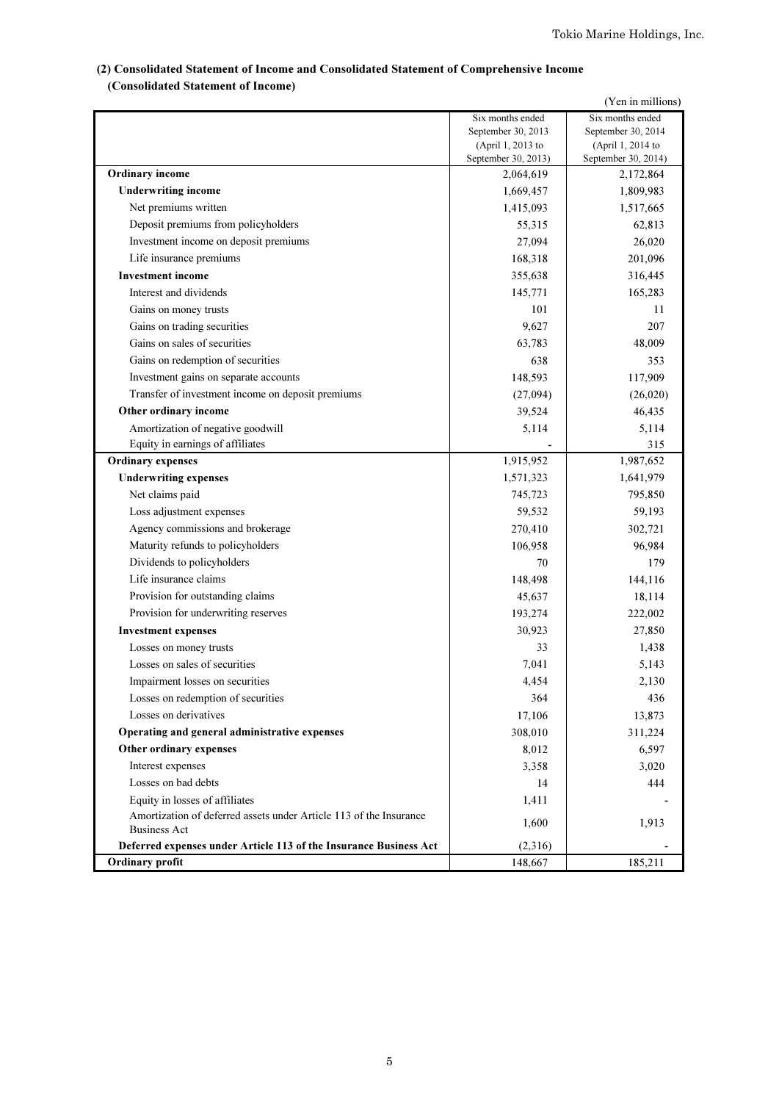# (2) Consolidated Statement of Income and Consolidated Statement of Comprehensive Income (Consolidated Statement of Income)

| (Yen in millions)                                                  |                                  |                                  |  |  |  |
|--------------------------------------------------------------------|----------------------------------|----------------------------------|--|--|--|
|                                                                    | Six months ended                 | Six months ended                 |  |  |  |
|                                                                    | September 30, 2013               | September 30, 2014               |  |  |  |
|                                                                    | (April 1, 2013 to                | (April 1, 2014 to                |  |  |  |
| <b>Ordinary</b> income                                             | September 30, 2013)<br>2,064,619 | September 30, 2014)<br>2,172,864 |  |  |  |
| <b>Underwriting income</b>                                         | 1,669,457                        | 1,809,983                        |  |  |  |
|                                                                    |                                  |                                  |  |  |  |
| Net premiums written                                               | 1,415,093                        | 1,517,665                        |  |  |  |
| Deposit premiums from policyholders                                | 55,315                           | 62,813                           |  |  |  |
| Investment income on deposit premiums                              | 27,094                           | 26,020                           |  |  |  |
| Life insurance premiums                                            | 168,318                          | 201,096                          |  |  |  |
| <b>Investment</b> income                                           | 355,638                          | 316,445                          |  |  |  |
| Interest and dividends                                             | 145,771                          | 165,283                          |  |  |  |
| Gains on money trusts                                              | 101                              | 11                               |  |  |  |
| Gains on trading securities                                        | 9,627                            | 207                              |  |  |  |
| Gains on sales of securities                                       | 63,783                           | 48,009                           |  |  |  |
| Gains on redemption of securities                                  | 638                              | 353                              |  |  |  |
| Investment gains on separate accounts                              | 148,593                          | 117,909                          |  |  |  |
| Transfer of investment income on deposit premiums                  | (27,094)                         | (26,020)                         |  |  |  |
| Other ordinary income                                              | 39,524                           | 46,435                           |  |  |  |
| Amortization of negative goodwill                                  | 5,114                            | 5,114                            |  |  |  |
| Equity in earnings of affiliates                                   |                                  | 315                              |  |  |  |
| <b>Ordinary expenses</b>                                           | 1,915,952                        | 1,987,652                        |  |  |  |
| <b>Underwriting expenses</b>                                       | 1,571,323                        | 1,641,979                        |  |  |  |
| Net claims paid                                                    | 745,723                          | 795,850                          |  |  |  |
| Loss adjustment expenses                                           | 59,532                           | 59,193                           |  |  |  |
| Agency commissions and brokerage                                   | 270,410                          | 302,721                          |  |  |  |
| Maturity refunds to policyholders                                  | 106,958                          | 96,984                           |  |  |  |
| Dividends to policyholders                                         | 70                               | 179                              |  |  |  |
| Life insurance claims                                              | 148,498                          | 144,116                          |  |  |  |
| Provision for outstanding claims                                   | 45,637                           | 18,114                           |  |  |  |
| Provision for underwriting reserves                                | 193,274                          | 222,002                          |  |  |  |
| <b>Investment expenses</b>                                         | 30,923                           | 27,850                           |  |  |  |
| Losses on money trusts                                             | 33                               | 1,438                            |  |  |  |
| Losses on sales of securities                                      | 7,041                            | 5,143                            |  |  |  |
| Impairment losses on securities                                    | 4,454                            | 2,130                            |  |  |  |
| Losses on redemption of securities                                 | 364                              | 436                              |  |  |  |
| Losses on derivatives                                              | 17,106                           | 13,873                           |  |  |  |
| Operating and general administrative expenses                      | 308,010                          | 311,224                          |  |  |  |
| Other ordinary expenses                                            | 8,012                            | 6,597                            |  |  |  |
| Interest expenses                                                  | 3,358                            | 3,020                            |  |  |  |
| Losses on bad debts                                                | 14                               | 444                              |  |  |  |
| Equity in losses of affiliates                                     | 1,411                            |                                  |  |  |  |
| Amortization of deferred assets under Article 113 of the Insurance |                                  |                                  |  |  |  |
| <b>Business Act</b>                                                | 1,600                            | 1,913                            |  |  |  |
| Deferred expenses under Article 113 of the Insurance Business Act  | (2,316)                          |                                  |  |  |  |
| <b>Ordinary profit</b>                                             | 148,667                          | 185,211                          |  |  |  |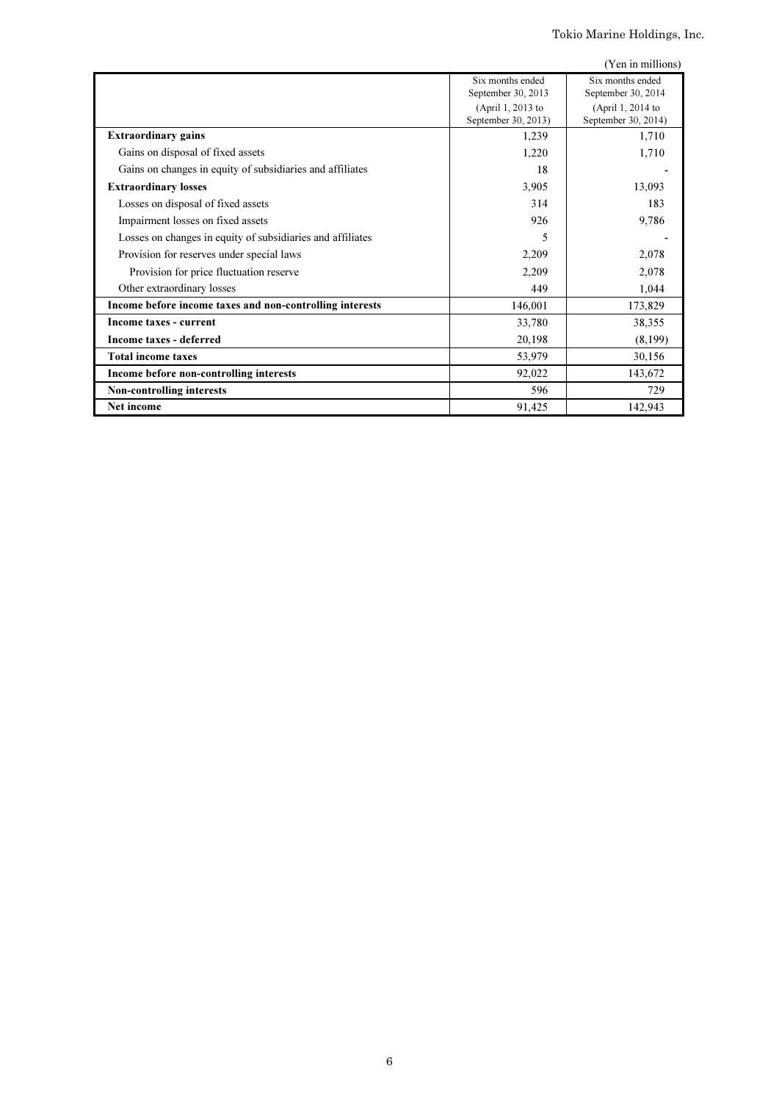Tokio Marine Holdings, Inc.

|                                                            |                     | (Yen in millions)   |
|------------------------------------------------------------|---------------------|---------------------|
|                                                            | Six months ended    | Six months ended    |
|                                                            | September 30, 2013  | September 30, 2014  |
|                                                            | (April 1, 2013 to   | (April 1, 2014 to   |
|                                                            | September 30, 2013) | September 30, 2014) |
| <b>Extraordinary gains</b>                                 | 1,239               | 1,710               |
| Gains on disposal of fixed assets                          | 1,220               | 1,710               |
| Gains on changes in equity of subsidiaries and affiliates  | 18                  |                     |
| <b>Extraordinary losses</b>                                | 3,905               | 13,093              |
| Losses on disposal of fixed assets                         | 314                 | 183                 |
| Impairment losses on fixed assets                          | 926                 | 9,786               |
| Losses on changes in equity of subsidiaries and affiliates | 5                   |                     |
| Provision for reserves under special laws                  | 2,209               | 2,078               |
| Provision for price fluctuation reserve                    | 2,209               | 2,078               |
| Other extraordinary losses                                 | 449                 | 1,044               |
| Income before income taxes and non-controlling interests   | 146,001             | 173,829             |
| Income taxes - current                                     | 33,780              | 38,355              |
| Income taxes - deferred                                    | 20,198              | (8,199)             |
| <b>Total income taxes</b>                                  | 53,979              | 30,156              |
| Income before non-controlling interests                    | 92,022              | 143,672             |
| Non-controlling interests                                  | 596                 | 729                 |
| Net income                                                 | 91,425              | 142,943             |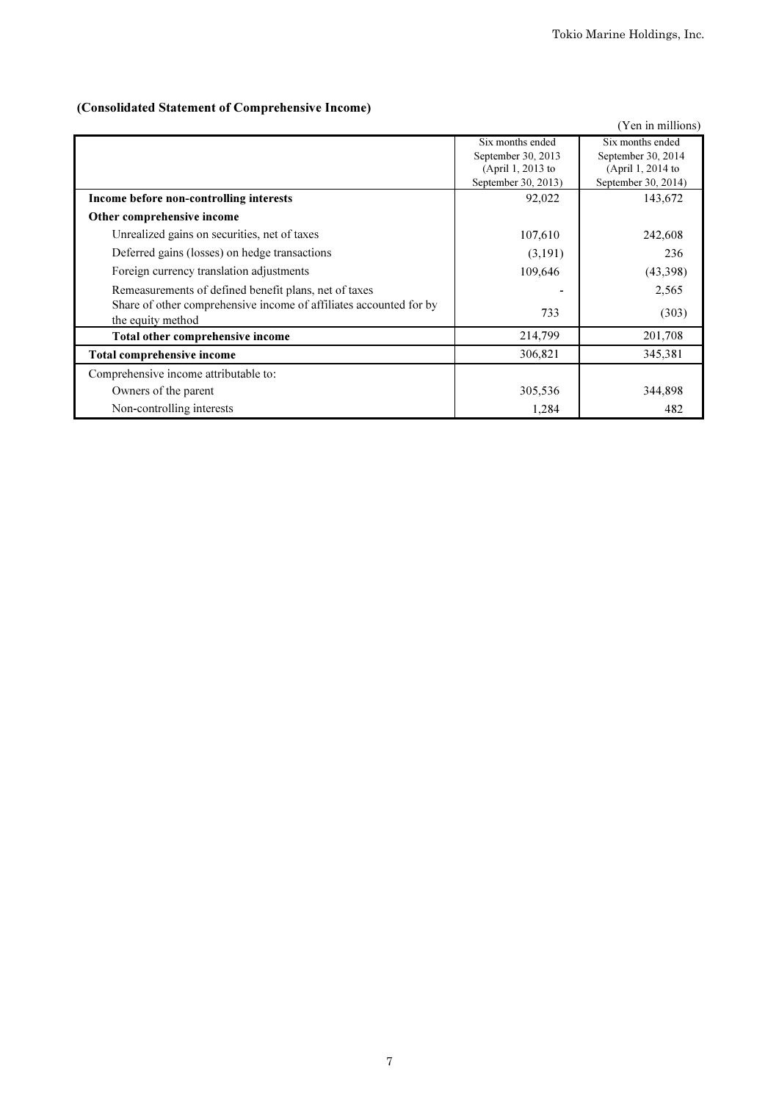## (Consolidated Statement of Comprehensive Income)

|                                                                    |                     | (Yen in millions)   |
|--------------------------------------------------------------------|---------------------|---------------------|
|                                                                    | Six months ended    | Six months ended    |
|                                                                    | September 30, 2013  | September 30, 2014  |
|                                                                    | (April 1, 2013 to   | (April 1, 2014 to   |
|                                                                    | September 30, 2013) | September 30, 2014) |
| Income before non-controlling interests                            | 92,022              | 143,672             |
| Other comprehensive income                                         |                     |                     |
| Unrealized gains on securities, net of taxes                       | 107,610             | 242,608             |
| Deferred gains (losses) on hedge transactions                      | (3,191)             | 236                 |
| Foreign currency translation adjustments                           | 109,646             | (43,398)            |
| Remeasurements of defined benefit plans, net of taxes              |                     | 2,565               |
| Share of other comprehensive income of affiliates accounted for by | 733                 | (303)               |
| the equity method                                                  |                     |                     |
| Total other comprehensive income                                   | 214,799             | 201,708             |
| <b>Total comprehensive income</b>                                  | 306,821             | 345,381             |
| Comprehensive income attributable to:                              |                     |                     |
| Owners of the parent                                               | 305,536             | 344,898             |
| Non-controlling interests                                          | 1,284               | 482                 |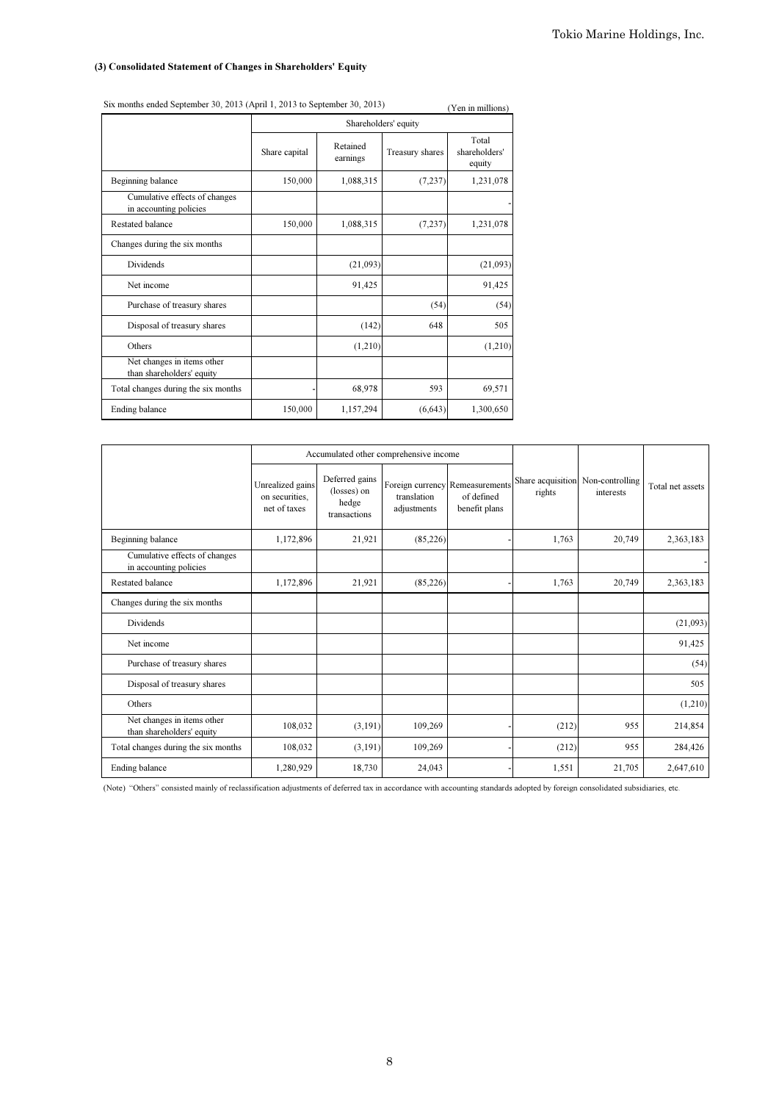#### (3) Consolidated Statement of Changes in Shareholders' Equity

| Six months ended September 30, 2013 (April 1, 2013 to September 30, 2013)<br>(Yen in millions) |                      |                      |                 |                                  |  |  |
|------------------------------------------------------------------------------------------------|----------------------|----------------------|-----------------|----------------------------------|--|--|
|                                                                                                | Shareholders' equity |                      |                 |                                  |  |  |
|                                                                                                | Share capital        | Retained<br>earnings | Treasury shares | Total<br>shareholders'<br>equity |  |  |
| Beginning balance                                                                              | 150,000              | 1,088,315            | (7, 237)        | 1,231,078                        |  |  |
| Cumulative effects of changes<br>in accounting policies                                        |                      |                      |                 |                                  |  |  |
| <b>Restated balance</b>                                                                        | 150,000              | 1,088,315            | (7,237)         | 1,231,078                        |  |  |
| Changes during the six months                                                                  |                      |                      |                 |                                  |  |  |
| Dividends                                                                                      |                      | (21,093)             |                 | (21,093)                         |  |  |
| Net income                                                                                     |                      | 91,425               |                 | 91,425                           |  |  |
| Purchase of treasury shares                                                                    |                      |                      | (54)            | (54)                             |  |  |
| Disposal of treasury shares                                                                    |                      | (142)                | 648             | 505                              |  |  |
| Others                                                                                         |                      | (1,210)              |                 | (1,210)                          |  |  |
| Net changes in items other<br>than shareholders' equity                                        |                      |                      |                 |                                  |  |  |
| Total changes during the six months                                                            |                      | 68,978               | 593             | 69,571                           |  |  |
| Ending balance                                                                                 | 150,000              | 1,157,294            | (6,643)         | 1,300,650                        |  |  |

|                                                         | Accumulated other comprehensive income             |                                                        |                                                |                                               |                                             |           |                  |
|---------------------------------------------------------|----------------------------------------------------|--------------------------------------------------------|------------------------------------------------|-----------------------------------------------|---------------------------------------------|-----------|------------------|
|                                                         | Unrealized gains<br>on securities.<br>net of taxes | Deferred gains<br>(losses) on<br>hedge<br>transactions | Foreign currency<br>translation<br>adjustments | Remeasurements<br>of defined<br>benefit plans | Share acquisition Non-controlling<br>rights | interests | Total net assets |
| Beginning balance                                       | 1,172,896                                          | 21,921                                                 | (85, 226)                                      |                                               | 1,763                                       | 20,749    | 2,363,183        |
| Cumulative effects of changes<br>in accounting policies |                                                    |                                                        |                                                |                                               |                                             |           |                  |
| Restated balance                                        | 1,172,896                                          | 21,921                                                 | (85, 226)                                      |                                               | 1,763                                       | 20,749    | 2,363,183        |
| Changes during the six months                           |                                                    |                                                        |                                                |                                               |                                             |           |                  |
| Dividends                                               |                                                    |                                                        |                                                |                                               |                                             |           | (21,093)         |
| Net income                                              |                                                    |                                                        |                                                |                                               |                                             |           | 91,425           |
| Purchase of treasury shares                             |                                                    |                                                        |                                                |                                               |                                             |           | (54)             |
| Disposal of treasury shares                             |                                                    |                                                        |                                                |                                               |                                             |           | 505              |
| Others                                                  |                                                    |                                                        |                                                |                                               |                                             |           | (1,210)          |
| Net changes in items other<br>than shareholders' equity | 108,032                                            | (3,191)                                                | 109,269                                        |                                               | (212)                                       | 955       | 214,854          |
| Total changes during the six months                     | 108,032                                            | (3, 191)                                               | 109,269                                        |                                               | (212)                                       | 955       | 284,426          |
| Ending balance                                          | 1,280,929                                          | 18,730                                                 | 24,043                                         |                                               | 1,551                                       | 21,705    | 2,647,610        |

(Note) "Others" consisted mainly of reclassification adjustments of deferred tax in accordance with accounting standards adopted by foreign consolidated subsidiaries, etc.

8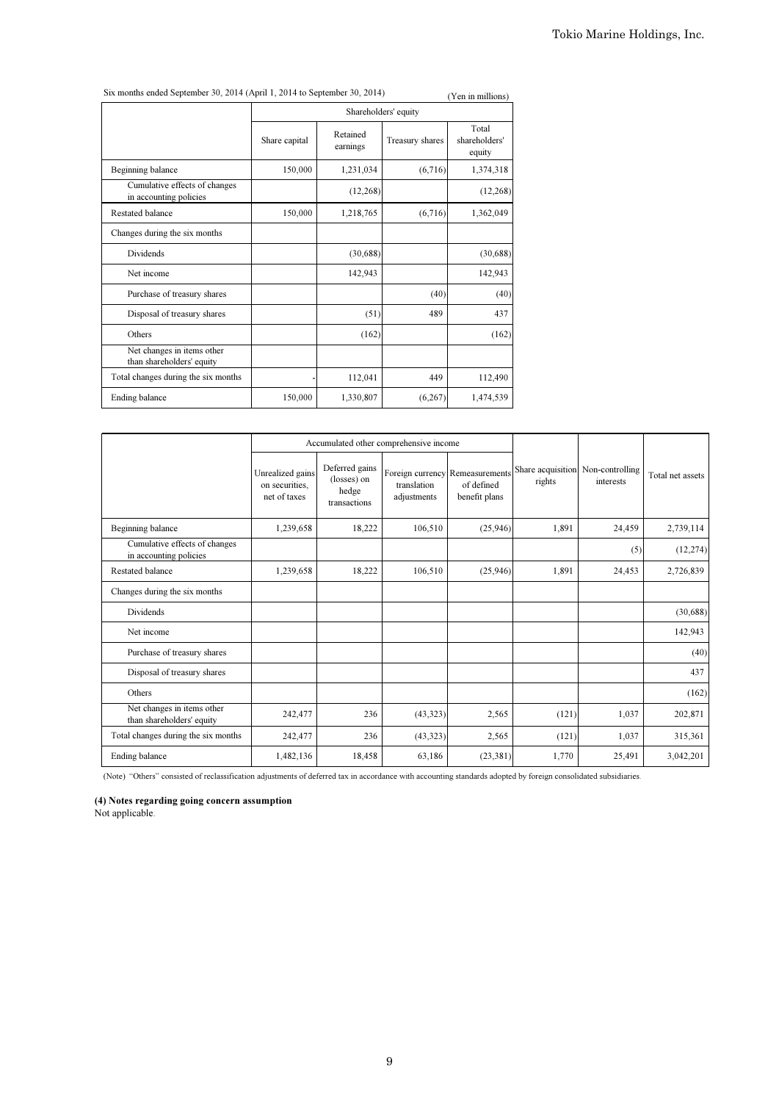Six months ended September 30, 2014 (April 1, 2014 to September 30, 2014) (Yen in millions)

|                                                         |                      |                      |                 | $(1$ cu in miniviro              |  |  |  |
|---------------------------------------------------------|----------------------|----------------------|-----------------|----------------------------------|--|--|--|
|                                                         | Shareholders' equity |                      |                 |                                  |  |  |  |
|                                                         | Share capital        | Retained<br>earnings | Treasury shares | Total<br>shareholders'<br>equity |  |  |  |
| Beginning balance                                       | 150,000              | 1,231,034            | (6,716)         | 1,374,318                        |  |  |  |
| Cumulative effects of changes<br>in accounting policies |                      | (12, 268)            |                 | (12, 268)                        |  |  |  |
| <b>Restated balance</b>                                 | 150,000              | 1,218,765            | (6,716)         | 1,362,049                        |  |  |  |
| Changes during the six months                           |                      |                      |                 |                                  |  |  |  |
| <b>Dividends</b>                                        |                      | (30, 688)            |                 | (30, 688)                        |  |  |  |
| Net income                                              |                      | 142,943              |                 | 142,943                          |  |  |  |
| Purchase of treasury shares                             |                      |                      | (40)            | (40)                             |  |  |  |
| Disposal of treasury shares                             |                      | (51)                 | 489             | 437                              |  |  |  |
| Others                                                  |                      | (162)                |                 | (162)                            |  |  |  |
| Net changes in items other<br>than shareholders' equity |                      |                      |                 |                                  |  |  |  |
| Total changes during the six months                     |                      | 112,041              | 449             | 112,490                          |  |  |  |
| Ending balance                                          | 150,000              | 1,330,807            | (6,267)         | 1,474,539                        |  |  |  |
|                                                         |                      |                      |                 |                                  |  |  |  |

|                                                         | Accumulated other comprehensive income             |                                                        |                            |                                                                |        |                                                |                  |
|---------------------------------------------------------|----------------------------------------------------|--------------------------------------------------------|----------------------------|----------------------------------------------------------------|--------|------------------------------------------------|------------------|
|                                                         | Unrealized gains<br>on securities.<br>net of taxes | Deferred gains<br>(losses) on<br>hedge<br>transactions | translation<br>adjustments | Foreign currency Remeasurements<br>of defined<br>benefit plans | rights | Share acquisition Non-controlling<br>interests | Total net assets |
| Beginning balance                                       | 1,239,658                                          | 18,222                                                 | 106,510                    | (25,946)                                                       | 1,891  | 24,459                                         | 2,739,114        |
| Cumulative effects of changes<br>in accounting policies |                                                    |                                                        |                            |                                                                |        | (5)                                            | (12, 274)        |
| <b>Restated balance</b>                                 | 1,239,658                                          | 18,222                                                 | 106,510                    | (25,946)                                                       | 1,891  | 24,453                                         | 2,726,839        |
| Changes during the six months                           |                                                    |                                                        |                            |                                                                |        |                                                |                  |
| Dividends                                               |                                                    |                                                        |                            |                                                                |        |                                                | (30, 688)        |
| Net income                                              |                                                    |                                                        |                            |                                                                |        |                                                | 142,943          |
| Purchase of treasury shares                             |                                                    |                                                        |                            |                                                                |        |                                                | (40)             |
| Disposal of treasury shares                             |                                                    |                                                        |                            |                                                                |        |                                                | 437              |
| Others                                                  |                                                    |                                                        |                            |                                                                |        |                                                | (162)            |
| Net changes in items other<br>than shareholders' equity | 242,477                                            | 236                                                    | (43, 323)                  | 2,565                                                          | (121)  | 1,037                                          | 202,871          |
| Total changes during the six months                     | 242,477                                            | 236                                                    | (43, 323)                  | 2,565                                                          | (121)  | 1,037                                          | 315,361          |
| Ending balance                                          | 1,482,136                                          | 18,458                                                 | 63,186                     | (23, 381)                                                      | 1,770  | 25,491                                         | 3,042,201        |

(Note) "Others" consisted of reclassification adjustments of deferred tax in accordance with accounting standards adopted by foreign consolidated subsidiaries.

(4) Notes regarding going concern assumption

Not applicable.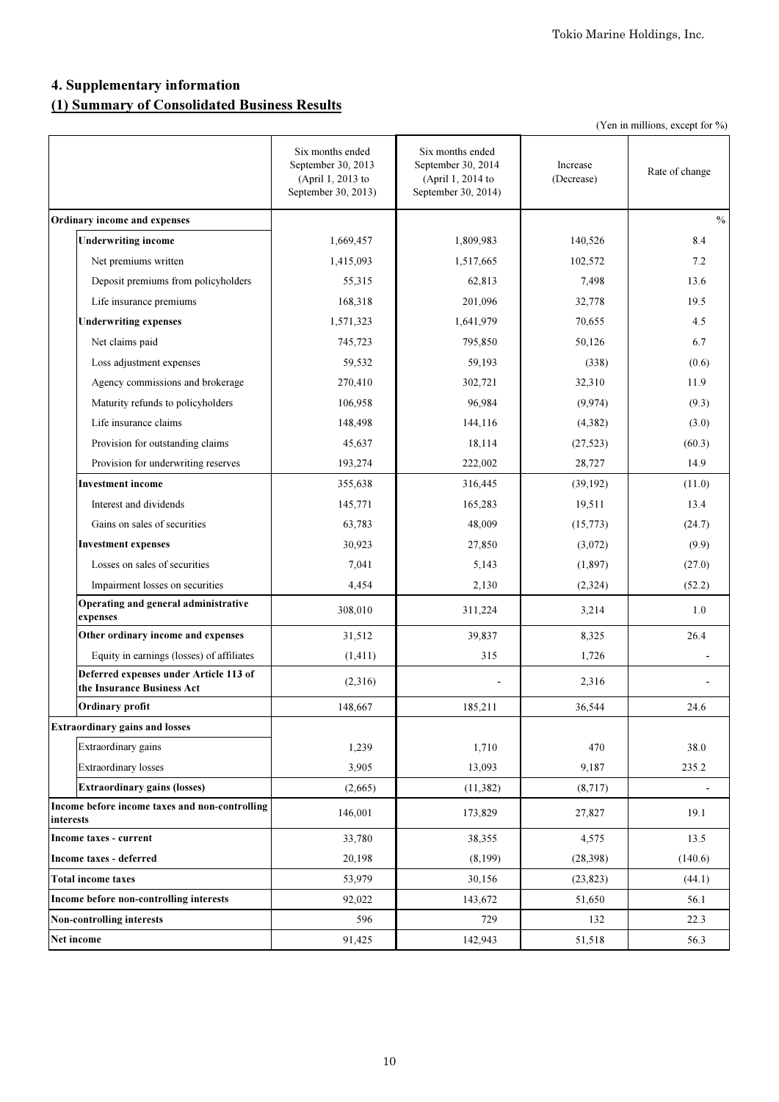# 4. Supplementary information (1) Summary of Consolidated Business Results

|                                                                      |                                                                                    | (Yen in millions, except for %)                                                    |                        |                |  |  |
|----------------------------------------------------------------------|------------------------------------------------------------------------------------|------------------------------------------------------------------------------------|------------------------|----------------|--|--|
|                                                                      | Six months ended<br>September 30, 2013<br>(April 1, 2013 to<br>September 30, 2013) | Six months ended<br>September 30, 2014<br>(April 1, 2014 to<br>September 30, 2014) | Increase<br>(Decrease) | Rate of change |  |  |
| Ordinary income and expenses                                         |                                                                                    |                                                                                    |                        | $\frac{0}{0}$  |  |  |
| <b>Underwriting income</b>                                           | 1,669,457                                                                          | 1,809,983                                                                          | 140,526                | 8.4            |  |  |
| Net premiums written                                                 | 1,415,093                                                                          | 1,517,665                                                                          | 102,572                | 7.2            |  |  |
| Deposit premiums from policyholders                                  | 55,315                                                                             | 62,813                                                                             | 7,498                  | 13.6           |  |  |
| Life insurance premiums                                              | 168,318                                                                            | 201,096                                                                            | 32,778                 | 19.5           |  |  |
| <b>Underwriting expenses</b>                                         | 1,571,323                                                                          | 1,641,979                                                                          | 70,655                 | 4.5            |  |  |
| Net claims paid                                                      | 745,723                                                                            | 795,850                                                                            | 50,126                 | 6.7            |  |  |
| Loss adjustment expenses                                             | 59,532                                                                             | 59,193                                                                             | (338)                  | (0.6)          |  |  |
| Agency commissions and brokerage                                     | 270,410                                                                            | 302,721                                                                            | 32,310                 | 11.9           |  |  |
| Maturity refunds to policyholders                                    | 106,958                                                                            | 96,984                                                                             | (9,974)                | (9.3)          |  |  |
| Life insurance claims                                                | 148,498                                                                            | 144,116                                                                            | (4, 382)               | (3.0)          |  |  |
| Provision for outstanding claims                                     | 45,637                                                                             | 18,114                                                                             | (27, 523)              | (60.3)         |  |  |
| Provision for underwriting reserves                                  | 193,274                                                                            | 222,002                                                                            | 28,727                 | 14.9           |  |  |
| <b>Investment</b> income                                             | 355,638                                                                            | 316,445                                                                            | (39, 192)              | (11.0)         |  |  |
| Interest and dividends                                               | 145,771                                                                            | 165,283                                                                            | 19,511                 | 13.4           |  |  |
| Gains on sales of securities                                         | 63,783                                                                             | 48,009                                                                             | (15,773)               | (24.7)         |  |  |
| <b>Investment expenses</b>                                           | 30,923                                                                             | 27,850                                                                             | (3,072)                | (9.9)          |  |  |
| Losses on sales of securities                                        | 7,041                                                                              | 5,143                                                                              | (1,897)                | (27.0)         |  |  |
| Impairment losses on securities                                      | 4,454                                                                              | 2,130                                                                              | (2,324)                | (52.2)         |  |  |
| Operating and general administrative<br>expenses                     | 308,010                                                                            | 311,224                                                                            | 3,214                  | 1.0            |  |  |
| Other ordinary income and expenses                                   | 31,512                                                                             | 39,837                                                                             | 8,325                  | 26.4           |  |  |
| Equity in earnings (losses) of affiliates                            | (1, 411)                                                                           | 315                                                                                | 1,726                  |                |  |  |
| Deferred expenses under Article 113 of<br>the Insurance Business Act | (2,316)                                                                            |                                                                                    | 2,316                  |                |  |  |
| Ordinary profit                                                      | 148,667                                                                            | 185,211                                                                            | 36,544                 | 24.6           |  |  |
| <b>Extraordinary gains and losses</b>                                |                                                                                    |                                                                                    |                        |                |  |  |
| Extraordinary gains                                                  | 1,239                                                                              | 1,710                                                                              | 470                    | 38.0           |  |  |
| <b>Extraordinary losses</b>                                          | 3,905                                                                              | 13,093                                                                             | 9,187                  | 235.2          |  |  |
| <b>Extraordinary gains (losses)</b>                                  | (2,665)                                                                            | (11,382)                                                                           | (8,717)                |                |  |  |
| Income before income taxes and non-controlling<br>interests          | 146,001                                                                            | 173,829                                                                            | 27,827                 | 19.1           |  |  |
| Income taxes - current                                               | 33,780                                                                             | 38,355                                                                             | 4,575                  | 13.5           |  |  |
| Income taxes - deferred                                              | 20,198                                                                             | (8,199)                                                                            | (28, 398)              | (140.6)        |  |  |
| <b>Total income taxes</b>                                            | 53,979                                                                             | 30,156                                                                             | (23, 823)              | (44.1)         |  |  |
| Income before non-controlling interests                              | 92,022                                                                             | 143,672                                                                            | 51,650                 | 56.1           |  |  |
| Non-controlling interests                                            | 596                                                                                | 729                                                                                | 132                    | 22.3           |  |  |
| Net income                                                           | 91,425                                                                             | 142,943                                                                            | 51,518                 | 56.3           |  |  |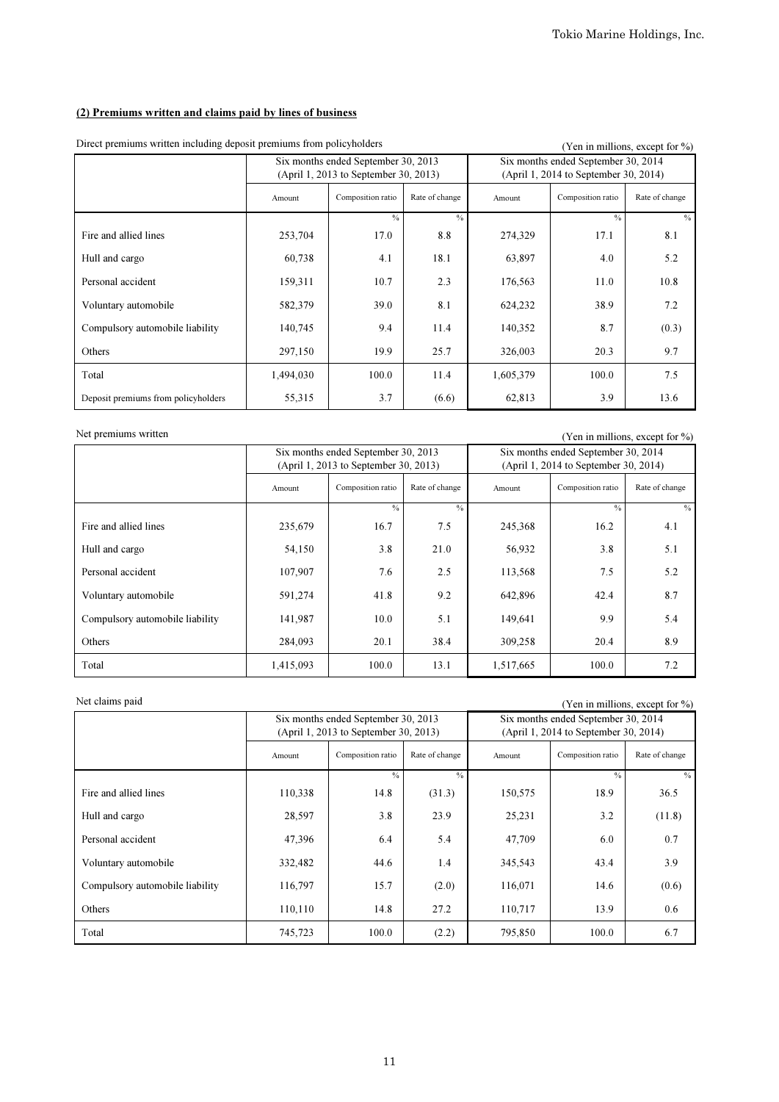# (2) Premiums written and claims paid by lines of business

| Direct premiums written including deposit premiums from poneyholders |                                                                              |                   |                |                                                                              |                   | (Yen in millions, except for %) |
|----------------------------------------------------------------------|------------------------------------------------------------------------------|-------------------|----------------|------------------------------------------------------------------------------|-------------------|---------------------------------|
|                                                                      | Six months ended September 30, 2013<br>(April 1, 2013 to September 30, 2013) |                   |                | Six months ended September 30, 2014<br>(April 1, 2014 to September 30, 2014) |                   |                                 |
|                                                                      | Amount                                                                       | Composition ratio | Rate of change | Amount                                                                       | Composition ratio | Rate of change                  |
|                                                                      |                                                                              | $\frac{0}{0}$     | $\frac{0}{0}$  |                                                                              | $\frac{0}{0}$     | $\frac{0}{0}$                   |
| Fire and allied lines                                                | 253,704                                                                      | 17.0              | 8.8            | 274,329                                                                      | 17.1              | 8.1                             |
| Hull and cargo                                                       | 60,738                                                                       | 4.1               | 18.1           | 63,897                                                                       | 4.0               | 5.2                             |
| Personal accident                                                    | 159,311                                                                      | 10.7              | 2.3            | 176,563                                                                      | 11.0              | 10.8                            |
| Voluntary automobile                                                 | 582,379                                                                      | 39.0              | 8.1            | 624,232                                                                      | 38.9              | 7.2                             |
| Compulsory automobile liability                                      | 140,745                                                                      | 9.4               | 11.4           | 140,352                                                                      | 8.7               | (0.3)                           |
| Others                                                               | 297,150                                                                      | 19.9              | 25.7           | 326,003                                                                      | 20.3              | 9.7                             |
| Total                                                                | 1,494,030                                                                    | 100.0             | 11.4           | 1,605,379                                                                    | 100.0             | 7.5                             |
| Deposit premiums from policyholders                                  | 55,315                                                                       | 3.7               | (6.6)          | 62,813                                                                       | 3.9               | 13.6                            |

Direct premiums written including deposit premiums from policyholders  $(1)$ 

Net premiums written (Yen in millions, except for %)

|                                 | Six months ended September 30, 2013<br>(April 1, 2013 to September 30, 2013) |                   |                | Six months ended September 30, 2014<br>(April 1, 2014 to September 30, 2014) |                   |                |
|---------------------------------|------------------------------------------------------------------------------|-------------------|----------------|------------------------------------------------------------------------------|-------------------|----------------|
|                                 | Amount                                                                       | Composition ratio | Rate of change | Amount                                                                       | Composition ratio | Rate of change |
|                                 |                                                                              | $\%$              | $\frac{0}{0}$  |                                                                              | $\frac{0}{0}$     | $\%$           |
| Fire and allied lines           | 235,679                                                                      | 16.7              | 7.5            | 245,368                                                                      | 16.2              | 4.1            |
| Hull and cargo                  | 54,150                                                                       | 3.8               | 21.0           | 56,932                                                                       | 3.8               | 5.1            |
| Personal accident               | 107,907                                                                      | 7.6               | 2.5            | 113,568                                                                      | 7.5               | 5.2            |
| Voluntary automobile            | 591,274                                                                      | 41.8              | 9.2            | 642,896                                                                      | 42.4              | 8.7            |
| Compulsory automobile liability | 141,987                                                                      | 10.0              | 5.1            | 149,641                                                                      | 9.9               | 5.4            |
| Others                          | 284,093                                                                      | 20.1              | 38.4           | 309,258                                                                      | 20.4              | 8.9            |
| Total                           | 1,415,093                                                                    | 100.0             | 13.1           | 1,517,665                                                                    | 100.0             | 7.2            |

Net claims paid (Yen in millions, except for %)

|                                 | Six months ended September 30, 2013<br>(April 1, 2013 to September 30, 2013) |                   |                | Six months ended September 30, 2014<br>(April 1, 2014 to September 30, 2014) |                   |                |
|---------------------------------|------------------------------------------------------------------------------|-------------------|----------------|------------------------------------------------------------------------------|-------------------|----------------|
|                                 | Amount                                                                       | Composition ratio | Rate of change | Amount                                                                       | Composition ratio | Rate of change |
|                                 |                                                                              | $\frac{0}{0}$     | $\frac{0}{0}$  |                                                                              | $\frac{0}{0}$     | $\frac{0}{0}$  |
| Fire and allied lines           | 110,338                                                                      | 14.8              | (31.3)         | 150,575                                                                      | 18.9              | 36.5           |
| Hull and cargo                  | 28,597                                                                       | 3.8               | 23.9           | 25,231                                                                       | 3.2               | (11.8)         |
| Personal accident               | 47,396                                                                       | 6.4               | 5.4            | 47,709                                                                       | 6.0               | 0.7            |
| Voluntary automobile            | 332,482                                                                      | 44.6              | 1.4            | 345,543                                                                      | 43.4              | 3.9            |
| Compulsory automobile liability | 116,797                                                                      | 15.7              | (2.0)          | 116,071                                                                      | 14.6              | (0.6)          |
| Others                          | 110,110                                                                      | 14.8              | 27.2           | 110,717                                                                      | 13.9              | 0.6            |
| Total                           | 745,723                                                                      | 100.0             | (2.2)          | 795,850                                                                      | 100.0             | 6.7            |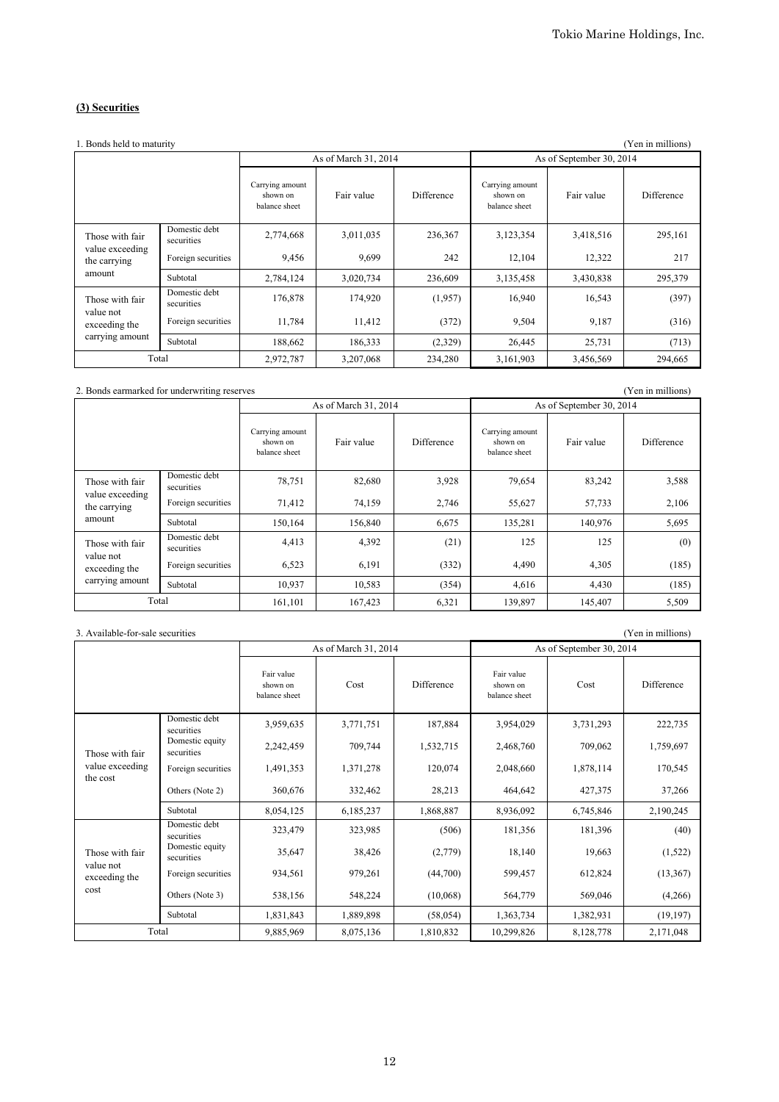## **(3) Securities**

| 1. Bonds held to maturity                                        |                             |                                              |                      |                   |                                              |            | (Yen in millions) |
|------------------------------------------------------------------|-----------------------------|----------------------------------------------|----------------------|-------------------|----------------------------------------------|------------|-------------------|
|                                                                  |                             |                                              | As of March 31, 2014 |                   | As of September 30, 2014                     |            |                   |
|                                                                  |                             | Carrying amount<br>shown on<br>balance sheet | Fair value           | <b>Difference</b> | Carrying amount<br>shown on<br>balance sheet | Fair value | Difference        |
| Those with fair<br>value exceeding<br>the carrying<br>amount     | Domestic debt<br>securities | 2,774,668                                    | 3,011,035            | 236,367           | 3,123,354                                    | 3,418,516  | 295,161           |
|                                                                  | Foreign securities          | 9,456                                        | 9,699                | 242               | 12,104                                       | 12,322     | 217               |
|                                                                  | Subtotal                    | 2,784,124                                    | 3,020,734            | 236,609           | 3,135,458                                    | 3,430,838  | 295,379           |
| Those with fair<br>value not<br>exceeding the<br>carrying amount | Domestic debt<br>securities | 176,878                                      | 174,920              | (1,957)           | 16,940                                       | 16,543     | (397)             |
|                                                                  | Foreign securities          | 11,784                                       | 11,412               | (372)             | 9,504                                        | 9,187      | (316)             |
|                                                                  | Subtotal                    | 188,662                                      | 186,333              | (2,329)           | 26,445                                       | 25,731     | (713)             |
| Total                                                            |                             | 2,972,787                                    | 3,207,068            | 234,280           | 3,161,903                                    | 3,456,569  | 294,665           |

2. Bonds earmarked for underwriting reserves (Yen in millions)

|                                                                  |                             | As of March 31, 2014                         |            |                   | As of September 30, 2014                     |            |            |  |
|------------------------------------------------------------------|-----------------------------|----------------------------------------------|------------|-------------------|----------------------------------------------|------------|------------|--|
|                                                                  |                             | Carrying amount<br>shown on<br>balance sheet | Fair value | <b>Difference</b> | Carrying amount<br>shown on<br>balance sheet | Fair value | Difference |  |
| Those with fair<br>value exceeding<br>the carrying<br>amount     | Domestic debt<br>securities | 78,751                                       | 82,680     | 3,928             | 79,654                                       | 83,242     | 3,588      |  |
|                                                                  | Foreign securities          | 71,412                                       | 74,159     | 2,746             | 55,627                                       | 57,733     | 2,106      |  |
|                                                                  | Subtotal                    | 150,164                                      | 156,840    | 6,675             | 135,281                                      | 140,976    | 5,695      |  |
| Those with fair<br>value not<br>exceeding the<br>carrying amount | Domestic debt<br>securities | 4,413                                        | 4,392      | (21)              | 125                                          | 125        | (0)        |  |
|                                                                  | Foreign securities          | 6,523                                        | 6,191      | (332)             | 4,490                                        | 4,305      | (185)      |  |
|                                                                  | Subtotal                    | 10,937                                       | 10,583     | (354)             | 4,616                                        | 4,430      | (185)      |  |
| Total                                                            |                             | 161,101                                      | 167,423    | 6,321             | 139,897                                      | 145,407    | 5,509      |  |

| 3. Available-for-sale securities<br>(Yen in millions) |                               |                                         |           |                          |                                         |           |            |
|-------------------------------------------------------|-------------------------------|-----------------------------------------|-----------|--------------------------|-----------------------------------------|-----------|------------|
|                                                       | As of March 31, 2014          |                                         |           | As of September 30, 2014 |                                         |           |            |
|                                                       |                               | Fair value<br>shown on<br>balance sheet | Cost      | Difference               | Fair value<br>shown on<br>balance sheet | Cost      | Difference |
| Those with fair<br>value exceeding<br>the cost        | Domestic debt<br>securities   | 3,959,635                               | 3,771,751 | 187,884                  | 3,954,029                               | 3,731,293 | 222,735    |
|                                                       | Domestic equity<br>securities | 2,242,459                               | 709,744   | 1,532,715                | 2,468,760                               | 709,062   | 1,759,697  |
|                                                       | Foreign securities            | 1,491,353                               | 1,371,278 | 120,074                  | 2,048,660                               | 1,878,114 | 170,545    |
|                                                       | Others (Note 2)               | 360,676                                 | 332,462   | 28,213                   | 464,642                                 | 427,375   | 37,266     |
|                                                       | Subtotal                      | 8,054,125                               | 6,185,237 | 1,868,887                | 8,936,092                               | 6,745,846 | 2,190,245  |
| Those with fair<br>value not<br>exceeding the<br>cost | Domestic debt<br>securities   | 323,479                                 | 323,985   | (506)                    | 181,356                                 | 181,396   | (40)       |
|                                                       | Domestic equity<br>securities | 35,647                                  | 38,426    | (2,779)                  | 18,140                                  | 19,663    | (1,522)    |
|                                                       | Foreign securities            | 934,561                                 | 979,261   | (44,700)                 | 599,457                                 | 612,824   | (13, 367)  |
|                                                       | Others (Note 3)               | 538,156                                 | 548,224   | (10,068)                 | 564,779                                 | 569,046   | (4,266)    |
|                                                       | Subtotal                      | 1,831,843                               | 1,889,898 | (58, 054)                | 1,363,734                               | 1,382,931 | (19, 197)  |
| Total                                                 |                               | 9,885,969                               | 8,075,136 | 1,810,832                | 10,299,826                              | 8,128,778 | 2,171,048  |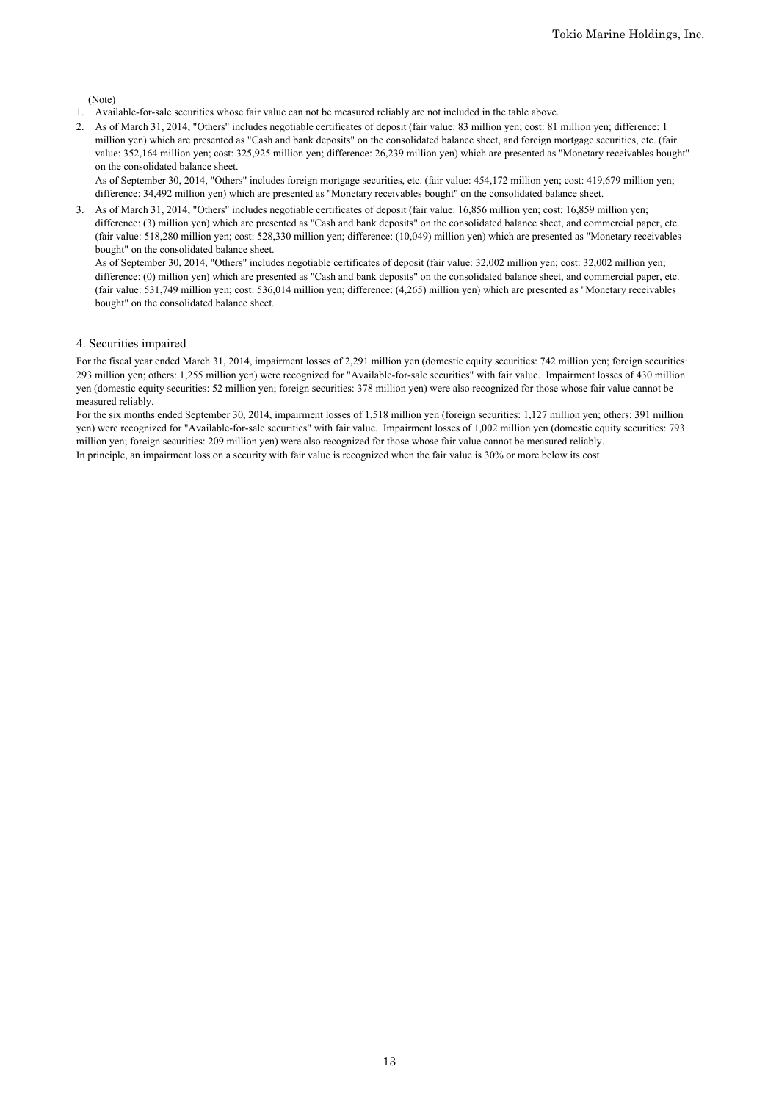#### (Note)

- 1. Available-for-sale securities whose fair value can not be measured reliably are not included in the table above.
- 2. As of March 31, 2014, "Others" includes negotiable certificates of deposit (fair value: 83 million yen; cost: 81 million yen; difference: 1 million yen) which are presented as "Cash and bank deposits" on the consolidated balance sheet, and foreign mortgage securities, etc. (fair value: 352,164 million yen; cost: 325,925 million yen; difference: 26,239 million yen) which are presented as "Monetary receivables bought" on the consolidated balance sheet.

As of September 30, 2014, "Others" includes foreign mortgage securities, etc. (fair value: 454,172 million yen; cost: 419,679 million yen; difference: 34,492 million yen) which are presented as "Monetary receivables bought" on the consolidated balance sheet.

3. As of March 31, 2014, "Others" includes negotiable certificates of deposit (fair value: 16,856 million yen; cost: 16,859 million yen; difference: (3) million yen) which are presented as "Cash and bank deposits" on the consolidated balance sheet, and commercial paper, etc. (fair value: 518,280 million yen; cost: 528,330 million yen; difference: (10,049) million yen) which are presented as "Monetary receivables bought" on the consolidated balance sheet.

As of September 30, 2014, "Others" includes negotiable certificates of deposit (fair value: 32,002 million yen; cost: 32,002 million yen; difference: (0) million yen) which are presented as "Cash and bank deposits" on the consolidated balance sheet, and commercial paper, etc. (fair value: 531,749 million yen; cost: 536,014 million yen; difference: (4,265) million yen) which are presented as "Monetary receivables bought" on the consolidated balance sheet.

#### 4. Securities impaired

For the fiscal year ended March 31, 2014, impairment losses of 2,291 million yen (domestic equity securities: 742 million yen; foreign securities: 293 million yen; others: 1,255 million yen) were recognized for "Available-for-sale securities" with fair value. Impairment losses of 430 million yen (domestic equity securities: 52 million yen; foreign securities: 378 million yen) were also recognized for those whose fair value cannot be measured reliably.

For the six months ended September 30, 2014, impairment losses of 1,518 million yen (foreign securities: 1,127 million yen; others: 391 million yen) were recognized for "Available-for-sale securities" with fair value. Impairment losses of 1,002 million yen (domestic equity securities: 793 million yen; foreign securities: 209 million yen) were also recognized for those whose fair value cannot be measured reliably. In principle, an impairment loss on a security with fair value is recognized when the fair value is 30% or more below its cost.